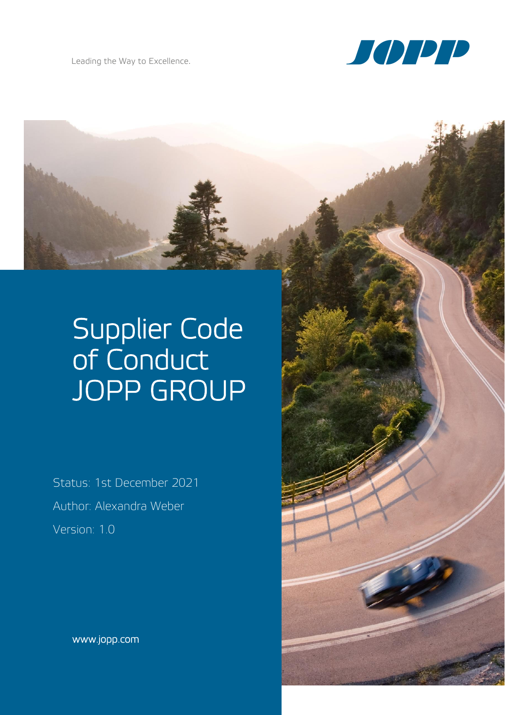

# Supplier Code of Conduct JOPP GROUP

Status: 1st December 2021 Author: Alexandra Weber Version: 1.0

www.jopp.com

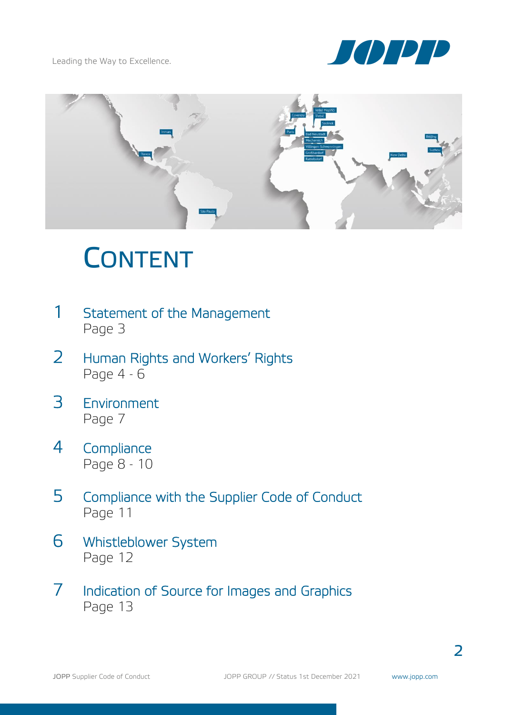



# **CONTENT**

- 1 Statement of the Management Page 3
- 2 Human Rights and Workers' Rights Page 4 - 6
- 3 Environment Page 7
- 4 Compliance Page 8 - 10
- 5 Compliance with the Supplier Code of Conduct Page 11
- 6 Whistleblower System Page 12
- 7 Indication of Source for Images and Graphics Page 13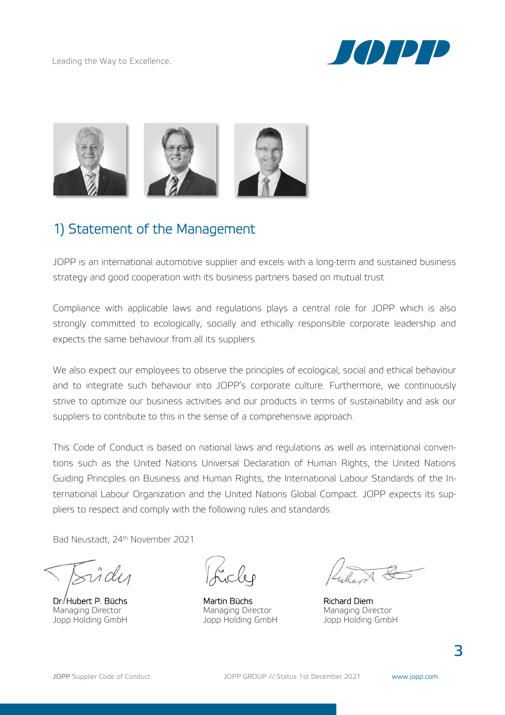



## 1) Statement of the Management

JOPP is an international automotive supplier and excels with a long-term and sustained business strategy and good cooperation with its business partners based on mutual trust.

Compliance with applicable laws and regulations plays a central role for JOPP which is also strongly committed to ecologically, socially and ethically responsible corporate leadership and expects the same behaviour from all its suppliers.

We also expect our employees to observe the principles of ecological, social and ethical behaviour and to integrate such behaviour into JOPP's corporate culture. Furthermore, we continuously strive to optimize our business activities and our products in terms of sustainability and ask our suppliers to contribute to this in the sense of a comprehensive approach.

This Code of Conduct is based on national laws and regulations as well as international conventions such as the United Nations Universal Declaration of Human Rights, the United Nations Guiding Principles on Business and Human Rights, the International Labour Standards of the International Labour Organization and the United Nations Global Compact. JOPP expects its suppliers to respect and comply with the following rules and standards.

Bad Neustadt, 24<sup>th</sup> November 2021

Dr. Hubert P. Büchs Martin Büchs Richard Diem Managing Director Managing Director Managing Director

Jopp Holding GmbH Jopp Holding GmbH Jopp Holding GmbH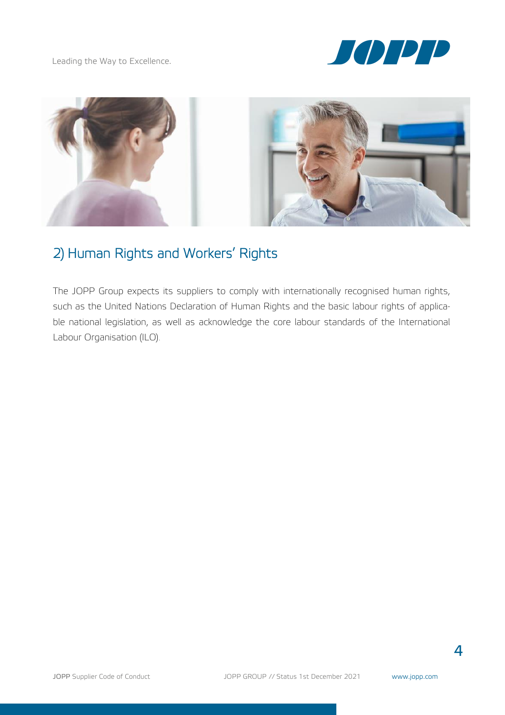



# 2) Human Rights and Workers' Rights

The JOPP Group expects its suppliers to comply with internationally recognised human rights, such as the United Nations Declaration of Human Rights and the basic labour rights of applicable national legislation, as well as acknowledge the core labour standards of the International Labour Organisation (ILO).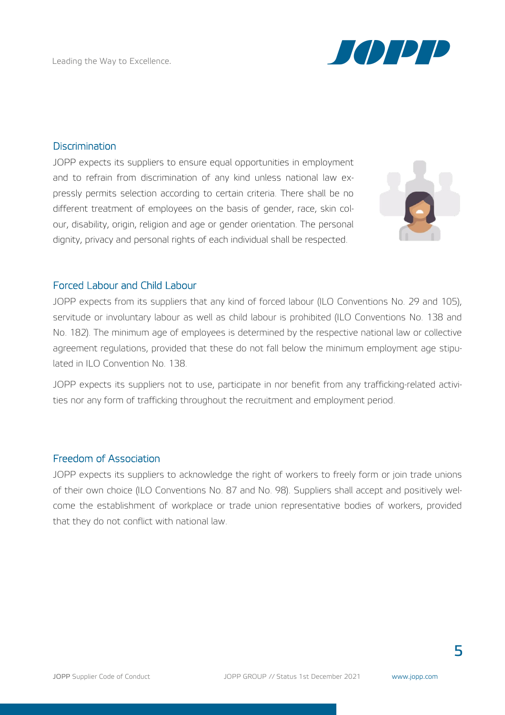

#### **Discrimination**

JOPP expects its suppliers to ensure equal opportunities in employment and to refrain from discrimination of any kind unless national law expressly permits selection according to certain criteria. There shall be no different treatment of employees on the basis of gender, race, skin colour, disability, origin, religion and age or gender orientation. The personal dignity, privacy and personal rights of each individual shall be respected.



#### Forced Labour and Child Labour

JOPP expects from its suppliers that any kind of forced labour (ILO Conventions No. 29 and 105), servitude or involuntary labour as well as child labour is prohibited (ILO Conventions No. 138 and No. 182). The minimum age of employees is determined by the respective national law or collective agreement regulations, provided that these do not fall below the minimum employment age stipulated in ILO Convention No. 138.

JOPP expects its suppliers not to use, participate in nor benefit from any trafficking-related activities nor any form of trafficking throughout the recruitment and employment period.

#### Freedom of Association

JOPP expects its suppliers to acknowledge the right of workers to freely form or join trade unions of their own choice (ILO Conventions No. 87 and No. 98). Suppliers shall accept and positively welcome the establishment of workplace or trade union representative bodies of workers, provided that they do not conflict with national law.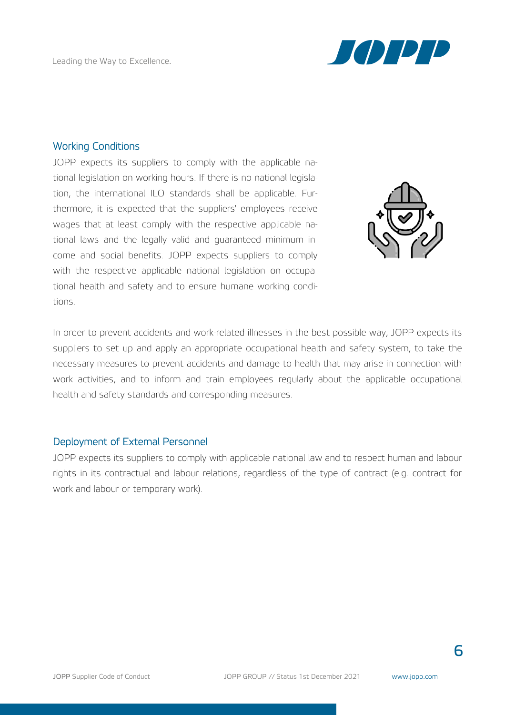

#### Working Conditions

JOPP expects its suppliers to comply with the applicable national legislation on working hours. If there is no national legislation, the international ILO standards shall be applicable. Furthermore, it is expected that the suppliers' employees receive wages that at least comply with the respective applicable national laws and the legally valid and guaranteed minimum income and social benefits. JOPP expects suppliers to comply with the respective applicable national legislation on occupational health and safety and to ensure humane working conditions.



In order to prevent accidents and work-related illnesses in the best possible way, JOPP expects its suppliers to set up and apply an appropriate occupational health and safety system, to take the necessary measures to prevent accidents and damage to health that may arise in connection with work activities, and to inform and train employees regularly about the applicable occupational health and safety standards and corresponding measures.

#### Deployment of External Personnel

JOPP expects its suppliers to comply with applicable national law and to respect human and labour rights in its contractual and labour relations, regardless of the type of contract (e.g. contract for work and labour or temporary work).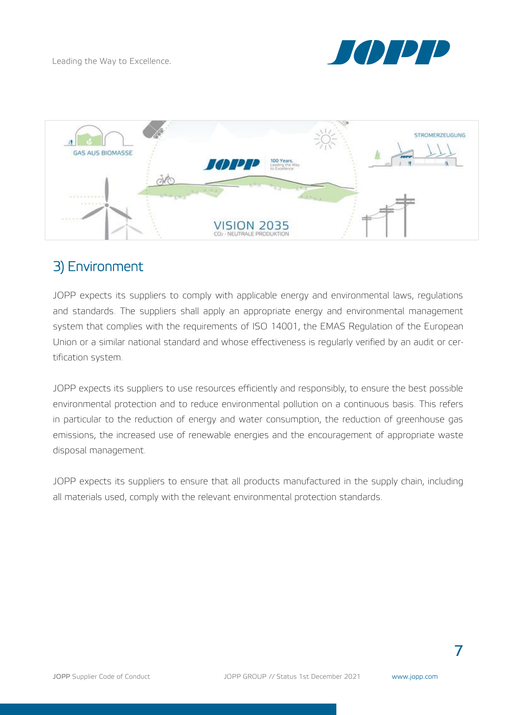



# 3) Environment

JOPP expects its suppliers to comply with applicable energy and environmental laws, regulations and standards. The suppliers shall apply an appropriate energy and environmental management system that complies with the requirements of ISO 14001, the EMAS Regulation of the European Union or a similar national standard and whose effectiveness is regularly verified by an audit or certification system.

JOPP expects its suppliers to use resources efficiently and responsibly, to ensure the best possible environmental protection and to reduce environmental pollution on a continuous basis. This refers in particular to the reduction of energy and water consumption, the reduction of greenhouse gas emissions, the increased use of renewable energies and the encouragement of appropriate waste disposal management.

JOPP expects its suppliers to ensure that all products manufactured in the supply chain, including all materials used, comply with the relevant environmental protection standards.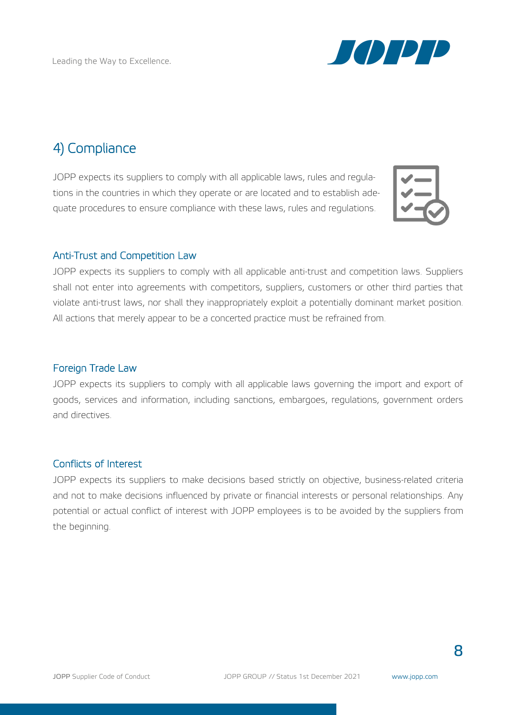

# 4) Compliance

JOPP expects its suppliers to comply with all applicable laws, rules and regulations in the countries in which they operate or are located and to establish adequate procedures to ensure compliance with these laws, rules and regulations.



#### Anti-Trust and Competition Law

JOPP expects its suppliers to comply with all applicable anti-trust and competition laws. Suppliers shall not enter into agreements with competitors, suppliers, customers or other third parties that violate anti-trust laws, nor shall they inappropriately exploit a potentially dominant market position. All actions that merely appear to be a concerted practice must be refrained from.

#### Foreign Trade Law

JOPP expects its suppliers to comply with all applicable laws governing the import and export of goods, services and information, including sanctions, embargoes, regulations, government orders and directives.

#### Conflicts of Interest

JOPP expects its suppliers to make decisions based strictly on objective, business-related criteria and not to make decisions influenced by private or financial interests or personal relationships. Any potential or actual conflict of interest with JOPP employees is to be avoided by the suppliers from the beginning.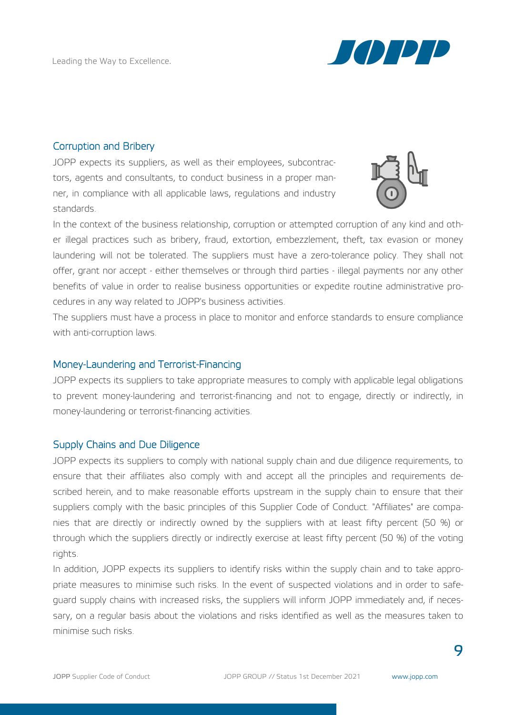

#### Corruption and Bribery

JOPP expects its suppliers, as well as their employees, subcontractors, agents and consultants, to conduct business in a proper manner, in compliance with all applicable laws, regulations and industry standards.



In the context of the business relationship, corruption or attempted corruption of any kind and other illegal practices such as bribery, fraud, extortion, embezzlement, theft, tax evasion or money laundering will not be tolerated. The suppliers must have a zero-tolerance policy. They shall not offer, grant nor accept - either themselves or through third parties - illegal payments nor any other benefits of value in order to realise business opportunities or expedite routine administrative procedures in any way related to JOPP's business activities.

The suppliers must have a process in place to monitor and enforce standards to ensure compliance with anti-corruption laws.

#### Money-Laundering and Terrorist-Financing

JOPP expects its suppliers to take appropriate measures to comply with applicable legal obligations to prevent money-laundering and terrorist-financing and not to engage, directly or indirectly, in money-laundering or terrorist-financing activities.

#### Supply Chains and Due Diligence

JOPP expects its suppliers to comply with national supply chain and due diligence requirements, to ensure that their affiliates also comply with and accept all the principles and requirements described herein, and to make reasonable efforts upstream in the supply chain to ensure that their suppliers comply with the basic principles of this Supplier Code of Conduct. "Affiliates" are companies that are directly or indirectly owned by the suppliers with at least fifty percent (50 %) or through which the suppliers directly or indirectly exercise at least fifty percent (50 %) of the voting rights.

In addition, JOPP expects its suppliers to identify risks within the supply chain and to take appropriate measures to minimise such risks. In the event of suspected violations and in order to safeguard supply chains with increased risks, the suppliers will inform JOPP immediately and, if necessary, on a regular basis about the violations and risks identified as well as the measures taken to minimise such risks.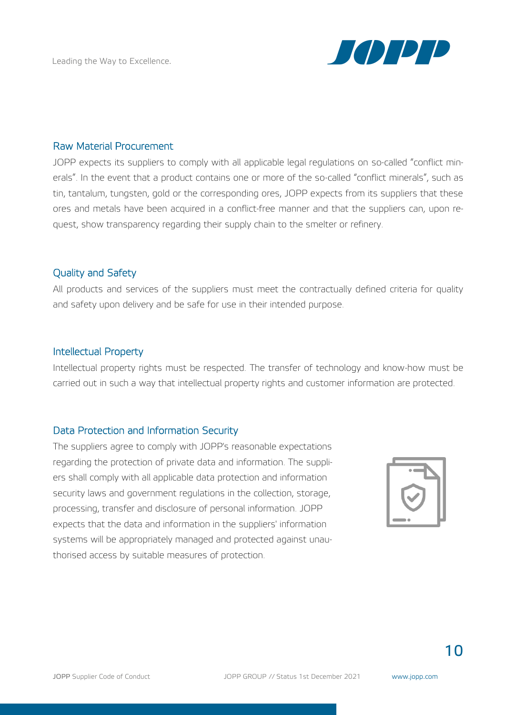

#### Raw Material Procurement

JOPP expects its suppliers to comply with all applicable legal regulations on so-called "conflict minerals". In the event that a product contains one or more of the so-called "conflict minerals", such as tin, tantalum, tungsten, gold or the corresponding ores, JOPP expects from its suppliers that these ores and metals have been acquired in a conflict-free manner and that the suppliers can, upon request, show transparency regarding their supply chain to the smelter or refinery.

#### Quality and Safety

All products and services of the suppliers must meet the contractually defined criteria for quality and safety upon delivery and be safe for use in their intended purpose.

#### Intellectual Property

Intellectual property rights must be respected. The transfer of technology and know-how must be carried out in such a way that intellectual property rights and customer information are protected.

#### Data Protection and Information Security

The suppliers agree to comply with JOPP's reasonable expectations regarding the protection of private data and information. The suppliers shall comply with all applicable data protection and information security laws and government regulations in the collection, storage, processing, transfer and disclosure of personal information. JOPP expects that the data and information in the suppliers' information systems will be appropriately managed and protected against unauthorised access by suitable measures of protection.

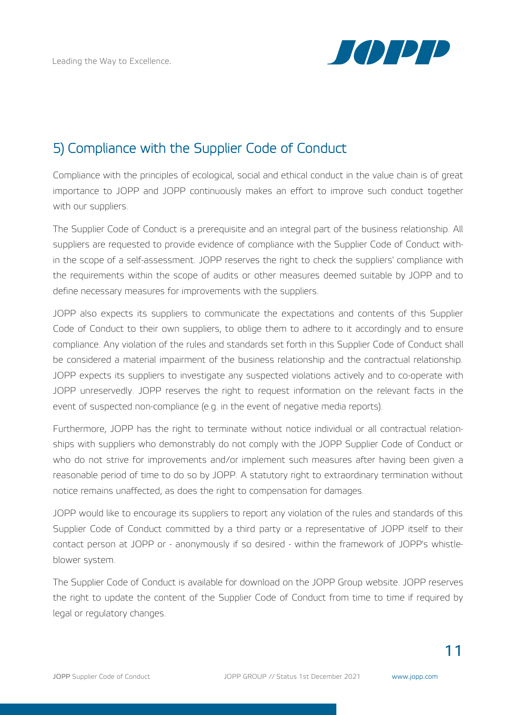

# 5) Compliance with the Supplier Code of Conduct

Compliance with the principles of ecological, social and ethical conduct in the value chain is of great importance to JOPP and JOPP continuously makes an effort to improve such conduct together with our suppliers.

The Supplier Code of Conduct is a prerequisite and an integral part of the business relationship. All suppliers are requested to provide evidence of compliance with the Supplier Code of Conduct within the scope of a self-assessment. JOPP reserves the right to check the suppliers' compliance with the requirements within the scope of audits or other measures deemed suitable by JOPP and to define necessary measures for improvements with the suppliers.

JOPP also expects its suppliers to communicate the expectations and contents of this Supplier Code of Conduct to their own suppliers, to oblige them to adhere to it accordingly and to ensure compliance. Any violation of the rules and standards set forth in this Supplier Code of Conduct shall be considered a material impairment of the business relationship and the contractual relationship. JOPP expects its suppliers to investigate any suspected violations actively and to co-operate with JOPP unreservedly. JOPP reserves the right to request information on the relevant facts in the event of suspected non-compliance (e.g. in the event of negative media reports).

Furthermore, JOPP has the right to terminate without notice individual or all contractual relationships with suppliers who demonstrably do not comply with the JOPP Supplier Code of Conduct or who do not strive for improvements and/or implement such measures after having been given a reasonable period of time to do so by JOPP. A statutory right to extraordinary termination without notice remains unaffected, as does the right to compensation for damages.

JOPP would like to encourage its suppliers to report any violation of the rules and standards of this Supplier Code of Conduct committed by a third party or a representative of JOPP itself to their contact person at JOPP or - anonymously if so desired - within the framework of JOPP's whistleblower system.

The Supplier Code of Conduct is available for download on the JOPP Group website. JOPP reserves the right to update the content of the Supplier Code of Conduct from time to time if required by legal or regulatory changes.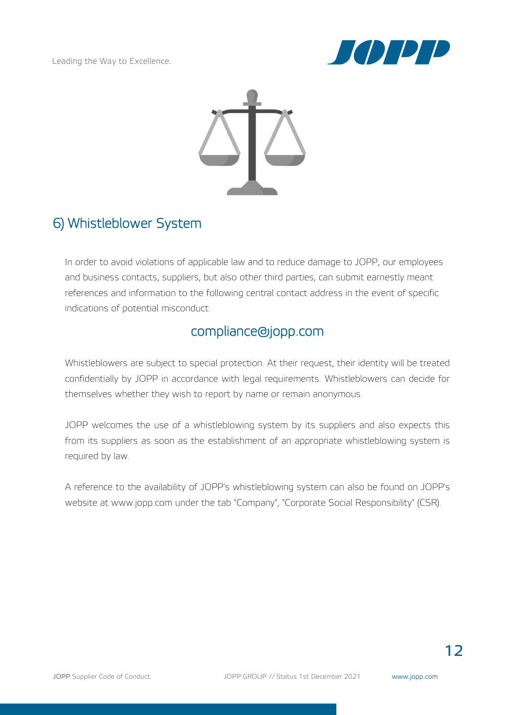



## 6) Whistleblower System

In order to avoid violations of applicable law and to reduce damage to JOPP, our employees and business contacts, suppliers, but also other third parties, can submit earnestly meant references and information to the following central contact address in the event of specific indications of potential misconduct:

## [compliance@jopp.com](mailto:compliance@jopp.com)

Whistleblowers are subject to special protection. At their request, their identity will be treated confidentially by JOPP in accordance with legal requirements. Whistleblowers can decide for themselves whether they wish to report by name or remain anonymous.

JOPP welcomes the use of a whistleblowing system by its suppliers and also expects this from its suppliers as soon as the establishment of an appropriate whistleblowing system is required by law.

A reference to the availability of JOPP's whistleblowing system can also be found on JOPP's website at www.jopp.com under the tab "Company", "Corporate Social Responsibility" (CSR).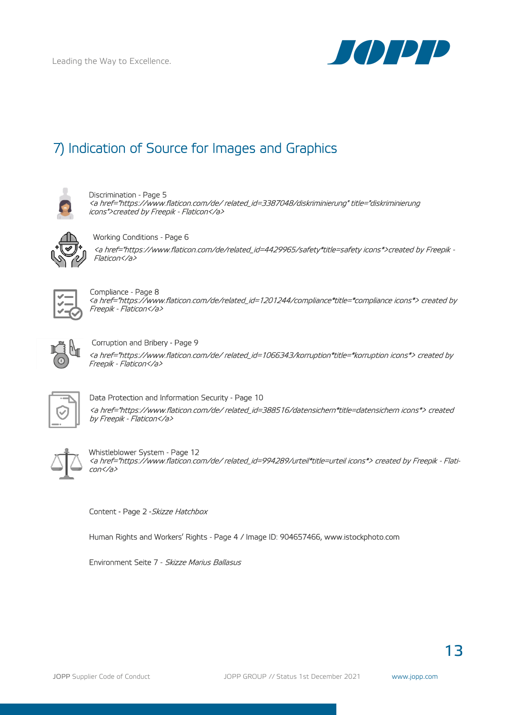

# 7) Indication of Source for Images and Graphics



Discrimination - Page 5 <a href="https://www.flaticon.com/de/ related\_id=3387048/diskriminierung" title="diskriminierung icons">created by Freepik - Flaticon</a>



Working Conditions - Page 6

<a href="https://www.flaticon.com/de/related\_id=4429965/safety\*title=safety icons\*>created by Freepik - Flaticon</a>



 Compliance - Page 8 <a href="https://www.flaticon.com/de/related\_id=1201244/compliance\*title=\*compliance icons\*> created by Freepik - Flaticon</a>



Corruption and Bribery - Page 9

<a href="https://www.flaticon.com/de/ related\_id=1066343/korruption\*title=\*korruption icons\*> created by Freepik - Flaticon</a>



Data Protection and Information Security - Page 10 <a href="https://www.flaticon.com/de/ related\_id=388516/datensichern\*title=datensichern icons\*> created by Freepik - Flaticon</a>



Whistleblower System - Page 12 <a href="https://www.flaticon.com/de/ related\_id=994289/urteil\*title=urteil icons\*> created by Freepik - Flaticon</a>

Content - Page 2 - Skizze Hatchbox

Human Rights and Workers' Rights - Page 4 / Image ID: 904657466, [www.istockphoto.com](http://www.istockphoto.com/) 

Environment Seite 7 - Skizze Marius Ballasus